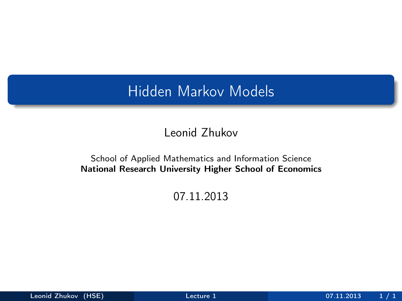## Hidden Markov Models

### Leonid Zhukov

#### School of Applied Mathematics and Information Science National Research University Higher School of Economics

#### <span id="page-0-0"></span>07.11.2013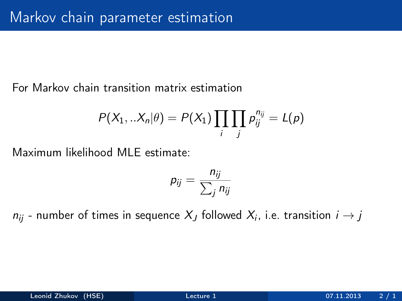For Markov chain transition matrix estimation

$$
P(X_1,..X_n|\theta) = P(X_1) \prod_i \prod_j p_{ij}^{n_{ij}} = L(p)
$$

Maximum likelihood MLE estimate:

$$
p_{ij}=\frac{n_{ij}}{\sum_j n_{ij}}
$$

 $n_{ij}$  - number of times in sequence  $X_J$  followed  $X_i$ , i.e. transition  $i\rightarrow j$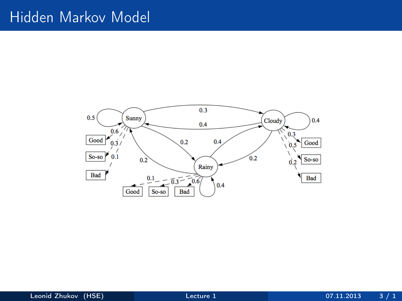### Hidden Markov Model

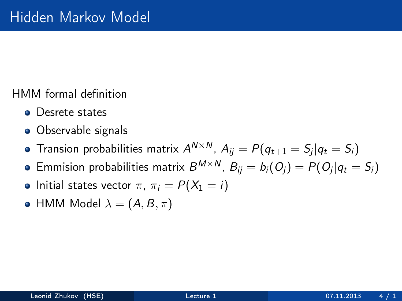HMM formal definition

- **•** Desrete states
- Observable signals
- Transion probabilities matrix  $A^{N \times N}$ ,  $A_{ij} = P(q_{t+1} = \mathcal{S}_j | q_t = \mathcal{S}_i)$
- Emmision probabilities matrix  $B^{M\times N}$ ,  $B_{ij}=b_i(O_j)=P(O_j|q_t=S_i)$
- Initial states vector  $\pi$ ,  $\pi_i = P(X_1 = i)$
- HMM Model  $\lambda = (A, B, \pi)$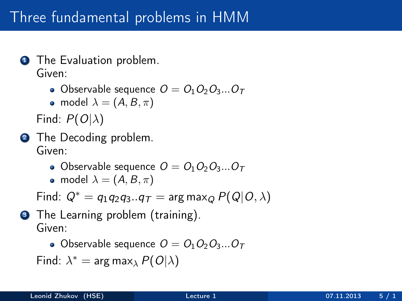# Three fundamental problems in HMM

- **1** The Evaluation problem. Given:
	- Observable sequence  $O = O_1O_2O_3...O_T$

• model 
$$
\lambda = (A, B, \pi)
$$

Find:  $P(O|\lambda)$ 

- **2** The Decoding problem. Given:
	- Observable sequence  $O = O_1O_2O_3...O_T$
	- model  $\lambda = (A, B, \pi)$

Find:  $Q^* = q_1q_2q_3...q_T = \arg \max_Q P(Q|O, \lambda)$ 

**3** The Learning problem (training). Given:

• Observable sequence  $O = O_1O_2O_3...O_T$ 

Find:  $\lambda^* = \arg \max_{\lambda} P(O|\lambda)$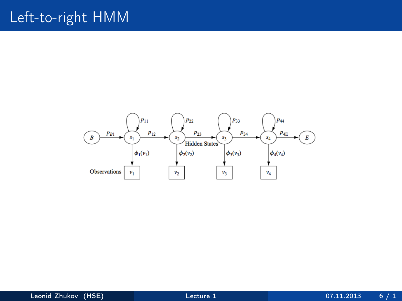